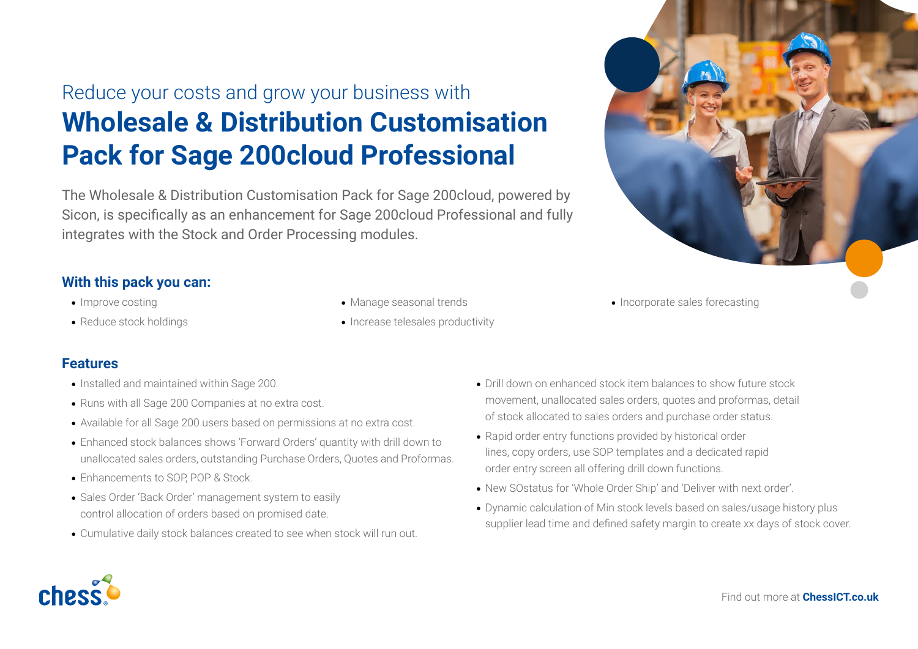## Reduce your costs and grow your business with **Wholesale & Distribution Customisation Pack for Sage 200cloud Professional**

The Wholesale & Distribution Customisation Pack for Sage 200cloud, powered by Sicon, is specifically as an enhancement for Sage 200cloud Professional and fully integrates with the Stock and Order Processing modules.

## **With this pack you can:**

- Improve costing
- Reduce stock holdings
- Manage seasonal trends
- Increase telesales productivity

• Incorporate sales forecasting

## **Features**

- Installed and maintained within Sage 200.
- Runs with all Sage 200 Companies at no extra cost.
- Available for all Sage 200 users based on permissions at no extra cost.
- Enhanced stock balances shows 'Forward Orders' quantity with drill down to unallocated sales orders, outstanding Purchase Orders, Quotes and Proformas.
- Enhancements to SOP, POP & Stock.
- Sales Order 'Back Order' management system to easily control allocation of orders based on promised date.
- Cumulative daily stock balances created to see when stock will run out.
- Drill down on enhanced stock item balances to show future stock movement, unallocated sales orders, quotes and proformas, detail of stock allocated to sales orders and purchase order status.
- Rapid order entry functions provided by historical order lines, copy orders, use SOP templates and a dedicated rapid order entry screen all offering drill down functions.
- New SOstatus for 'Whole Order Ship' and 'Deliver with next order'.
- Dynamic calculation of Min stock levels based on sales/usage history plus supplier lead time and defined safety margin to create xx days of stock cover.